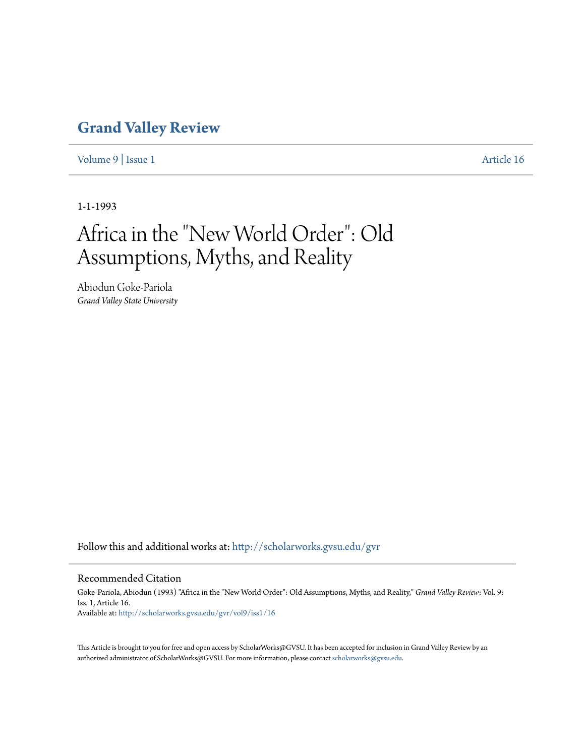## **[Grand Valley Review](http://scholarworks.gvsu.edu/gvr?utm_source=scholarworks.gvsu.edu%2Fgvr%2Fvol9%2Fiss1%2F16&utm_medium=PDF&utm_campaign=PDFCoverPages)**

[Volume 9](http://scholarworks.gvsu.edu/gvr/vol9?utm_source=scholarworks.gvsu.edu%2Fgvr%2Fvol9%2Fiss1%2F16&utm_medium=PDF&utm_campaign=PDFCoverPages) | [Issue 1](http://scholarworks.gvsu.edu/gvr/vol9/iss1?utm_source=scholarworks.gvsu.edu%2Fgvr%2Fvol9%2Fiss1%2F16&utm_medium=PDF&utm_campaign=PDFCoverPages) [Article 16](http://scholarworks.gvsu.edu/gvr/vol9/iss1/16?utm_source=scholarworks.gvsu.edu%2Fgvr%2Fvol9%2Fiss1%2F16&utm_medium=PDF&utm_campaign=PDFCoverPages)

1-1-1993

# Africa in the "New World Order": Old Assumptions, Myths, and Reality

Abiodun Goke-Pariola *Grand Valley State University*

Follow this and additional works at: [http://scholarworks.gvsu.edu/gvr](http://scholarworks.gvsu.edu/gvr?utm_source=scholarworks.gvsu.edu%2Fgvr%2Fvol9%2Fiss1%2F16&utm_medium=PDF&utm_campaign=PDFCoverPages)

#### Recommended Citation

Goke-Pariola, Abiodun (1993) "Africa in the "New World Order": Old Assumptions, Myths, and Reality," *Grand Valley Review*: Vol. 9: Iss. 1, Article 16. Available at: [http://scholarworks.gvsu.edu/gvr/vol9/iss1/16](http://scholarworks.gvsu.edu/gvr/vol9/iss1/16?utm_source=scholarworks.gvsu.edu%2Fgvr%2Fvol9%2Fiss1%2F16&utm_medium=PDF&utm_campaign=PDFCoverPages)

This Article is brought to you for free and open access by ScholarWorks@GVSU. It has been accepted for inclusion in Grand Valley Review by an authorized administrator of ScholarWorks@GVSU. For more information, please contact [scholarworks@gvsu.edu.](mailto:scholarworks@gvsu.edu)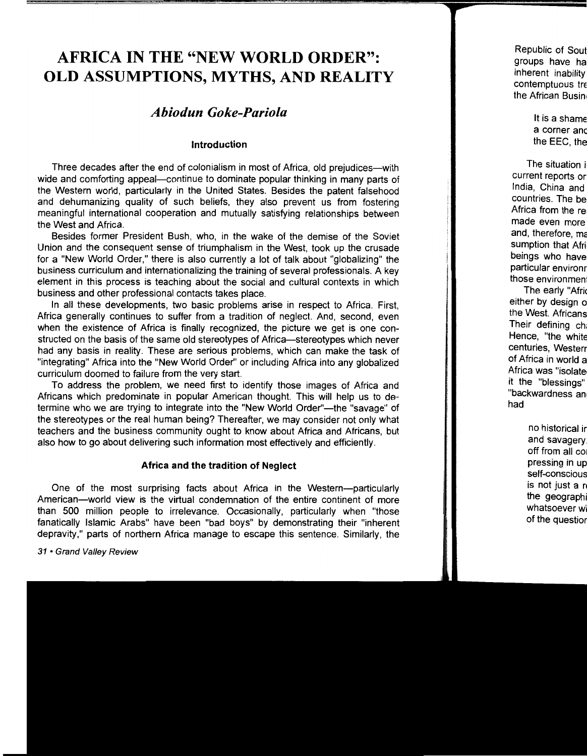## **AFRICA IN THE "NEW WORLD ORDER": OLD ASSUMPTIONS, MYTHS, AND REALITY**

### *Abiodun Goke-Pariola*

#### **Introduction**

Three decades after the end of colonialism in most of Africa, old prejudices-with wide and comforting appeal-continue to dominate popular thinking in many parts of the Western world, particularly in the United States. Besides the patent falsehood and dehumanizing quality of such beliefs, they also prevent us from fostering meaningful international cooperation and mutually satisfying relationships between the West and Africa.

Besides former President Bush, who, in the wake of the demise of the Soviet Union and the consequent sense of triumphalism in the West, took up the crusade for a "New World Order," there is also currently a lot of talk about "globalizing" the business curriculum and internationalizing the training of several professionals. A key element in this process is teaching about the social and cultural contexts in which business and other professional contacts takes place.

In all these developments, two basic problems arise in respect to Africa. First, Africa generally continues to suffer from a tradition of neglect. And, second, even when the existence of Africa is finally recognized, the picture we get is one constructed on the basis of the same old stereotypes of Africa-stereotypes which never had any basis in reality. These are serious problems, which can make the task of "integrating" Africa into the "New World Order" or including Africa into any globalized curriculum doomed to failure from the very start.

To address the problem, we need first to identify those images of Africa and Africans which predominate in popular American thought. This will help us to determine who we are trying to integrate into the "New World Order"-the "savage" of the stereotypes or the real human being? Thereafter, we may consider not only what teachers and the business community ought to know about Africa and Africans, but also how to go about delivering such information most effectively and efficiently.

#### **Africa and the tradition of Neglect**

One of the most surprising facts about Africa in the Western-particularly American-world view is the virtual condemnation of the entire continent of more than 500 million people to irrelevance. Occasionally, particularly when "those fanatically Islamic Arabs" have been "bad boys" by demonstrating their "inherent depravity," parts of northern Africa manage to escape this sentence. Similarly, the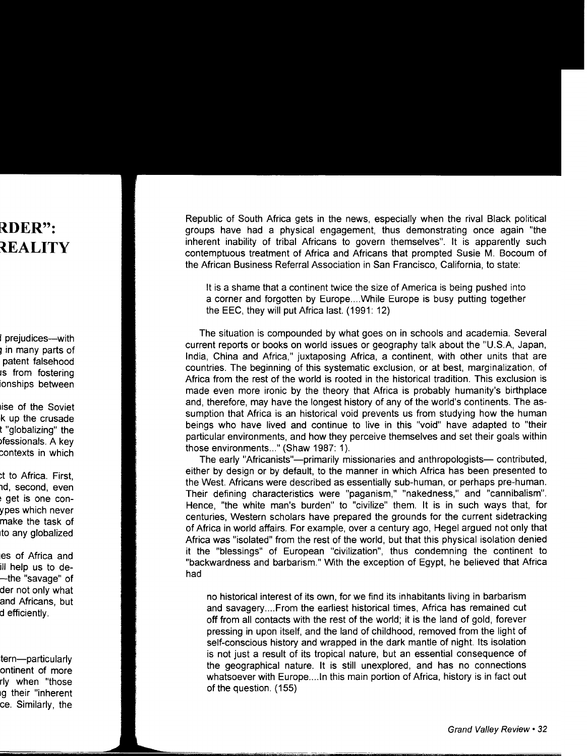Republic of South Africa gets in the news, especially when the rival Black political groups have had a physical engagement, thus demonstrating once again "the inherent inability of tribal Africans to govern themselves". It is apparently such contemptuous treatment of Africa and Africans that prompted Susie M. Bocoum of the African Business Referral Association in San Francisco, California, to state:

It is a shame that a continent twice the size of America is being pushed into a corner and forgotten by Europe....While Europe is busy putting together the EEC, they will put Africa last. (1991: 12)

The situation is compounded by what goes on in schools and academia. Several current reports or books on world issues or geography talk about the "U.S.A, Japan, India, China and Africa," juxtaposing Africa, a continent, with other units that are countries. The beginning of this systematic exclusion, or at best, marginalization, of Africa from the rest of the world is rooted in the historical tradition. This exclusion is made even more ironic by the theory that Africa is probably humanity's birthplace and, therefore, may have the longest history of any of the world's continents. The assumption that Africa is an historical void prevents us from studying how the human beings who have lived and continue to live in this "void" have adapted to "their particular environments, and how they perceive themselves and set their goals within those environments..." (Shaw 1987: 1).

The early "Africanists"—primarily missionaries and anthropologists— contributed, either by design or by default, to the manner in which Africa has been presented to the West. Africans were described as essentially sub-human, or perhaps pre-human. Their defining characteristics were "paganism," "nakedness," and "cannibalism". Hence, "the white man's burden" to "civilize" them. It is in such ways that, for centuries, Western scholars have prepared the grounds for the current sidetracking of Africa in world affairs. For example, over a century ago, Hegel argued not only that Africa was "isolated" from the rest of the world, but that this physical isolation denied it the "blessings" of European "civilization", thus condemning the continent to "backwardness and barbarism." With the exception of Egypt, he believed that Africa had

no historical interest of its own, for we find its inhabitants living in barbarism and savagery .... From the earliest historical times, Africa has remained cut off from all contacts with the rest of the world; it is the land of gold, forever pressing in upon itself, and the land of childhood, removed from the light of self-conscious history and wrapped in the dark mantle of night. Its isolation is not just a result of its tropical nature, but an essential consequence of the geographical nature. It is still unexplored, and has no connections whatsoever with Europe....In this main portion of Africa, history is in fact out of the question. (155)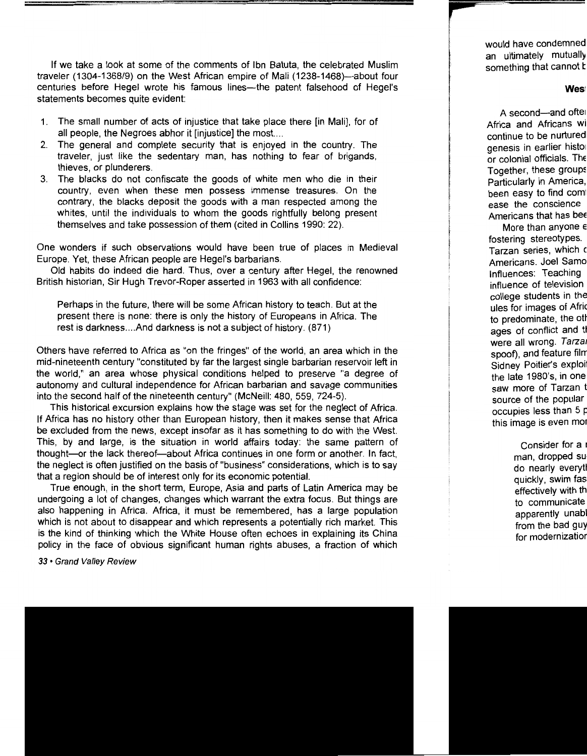If we take a look at some of the comments of Ibn Batuta, the celebrated Muslim traveler (1304-1368/9) on the West African empire of Mali (1238-1468)-about four centuries before Hegel wrote his famous lines--the patent falsehood of Hegel's statements becomes quite evident:

- 1. The small number of acts of injustice that take place there [in Mali], for of all people, the Negroes abhor it [injustice] the most. ...
- 2. The general and complete security that is enjoyed in the country. The traveler, just like the sedentary man, has nothing to fear of brigands, thieves, or plunderers.
- 3. The blacks do not confiscate the goods of white men who die in their country, even when these men possess immense treasures. On the contrary, the blacks deposit the goods with a man respected among the whites, until the individuals to whom the goods rightfully belong present themselves and take possession of them (cited in Collins 1990: 22).

One wonders if such observations would have been true of places in Medieval Europe. Yet, these African people are Hegel's barbarians.

Old habits do indeed die hard. Thus, over a century after Hegel, the renowned British historian, Sir Hugh Trevor-Roper asserted in 1963 with all confidence:

Perhaps in the future, there will be some African history to teach. But at the present there is none: there is only the history of Europeans in Africa. The rest is darkness.... And darkness is not a subject of history. (871)

Others have referred to Africa as "on the fringes" of the world, an area which in the mid-nineteenth century "constituted by far the largest single barbarian reservoir left in the world," an area whose physical conditions helped to preserve "a degree of autonomy and cultural independence for African barbarian and savage communities into the second half of the nineteenth century" (McNeill: 480, 559, 724-5).

This historical excursion explains how the stage was set for the neglect of Africa. If Africa has no history other than European history, then it makes sense that Africa be excluded from the news, except insofar as it has something to do with the West. This, by and large, is the situation in world affairs today: the same pattern of thought-or the lack thereof-about Africa continues in one form or another. In fact, the neglect is often justified on the basis of "business" considerations, which is to say that a region should be of interest only for its economic potential.

True enough, in the short term, Europe, Asia and parts of Latin America may be undergoing a lot of changes, changes which warrant the extra focus. But things are also happening in Africa. Africa, it must be remembered, has a large population which is not about to disappear and which represents a potentially rich market. This is the kind of thinking which the White House often echoes in explaining its China policy in the face of obvious significant human rights abuses, a fraction of which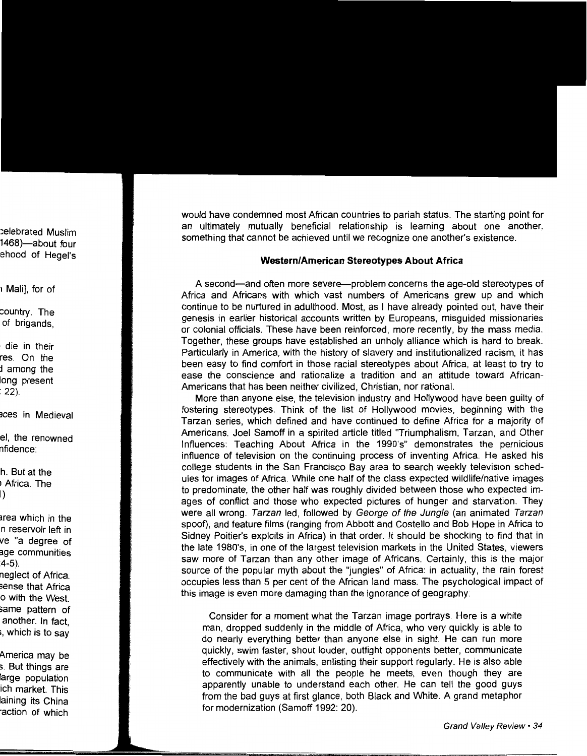would have condemned most African countries to pariah status. The starting point for an ultimately mutually beneficial relationship is learning about one another, something that cannot be achieved until we recognize one another's existence.

#### **Western/American Stereotypes About Africa**

A second-and often more severe-problem concerns the age-old stereotypes of Africa and Africans with which vast numbers of Americans grew up and which continue to be nurtured in adulthood. Most, as I have already pointed out, have their genesis in earlier historical accounts written by Europeans, misguided missionaries or colonial officials. These have been reinforced, more recently, by the mass media. Together, these groups have established an unholy alliance which is hard to break. Particularly in America, with the history of slavery and institutionalized racism, it has been easy to find comfort in those racial stereotypes about Africa, at least to try to ease the conscience and rationalize a tradition and an attitude toward African-Americans that has been neither civilized, Christian, nor rational.

More than anyone else, the television industry and Hollywood have been guilty of fostering stereotypes. Think of the list of Hollywood movies, beginning with the Tarzan series, which defined and have continued to define Africa for a majority of Americans. Joel Sarnoff in a spirited article titled "Triumphalism, Tarzan, and Other Influences: Teaching About Africa in the 1990's" demonstrates the pernicious influence of television on the continuing process of inventing Africa. He asked his college students in the San Francisco Bay area to search weekly television schedules for images of Africa. While one half of the class expected wildlife/native images to predominate, the other half was roughly divided between those who expected images of conflict and those who expected pictures of hunger and starvation. They were all wrong. Tarzan led, followed by George of the Jungle (an animated Tarzan spoof), and feature films (ranging from Abbott and Costello and Bob Hope in Africa to Sidney Poitier's exploits in Africa) in that order. It should be shocking to find that in the late 1980's, in one of the largest television markets in the United States, viewers saw more of Tarzan than any other image of Africans. Certainly, this is the major source of the popular myth about the "jungles" of Africa: in actuality, the rain forest occupies less than 5 per cent of the African land mass. The psychological impact of this image is even more damaging than the ignorance of geography:

Consider for a moment what the Tarzan image portrays. Here is a white man, dropped suddenly in the middle of Africa, who very quickly is able to do nearly everything better than anyone else in sight. He can run more quickly, swim faster, shout louder, outfight opponents better, communicate effectively with the animals, enlisting their support regularly. He is also able to communicate with all the people he meets, even though they are apparently unable to understand each other. He can tell the good guys from the bad guys at first glance, both Black and White. A grand metaphor for modernization (Samoff 1992: 20).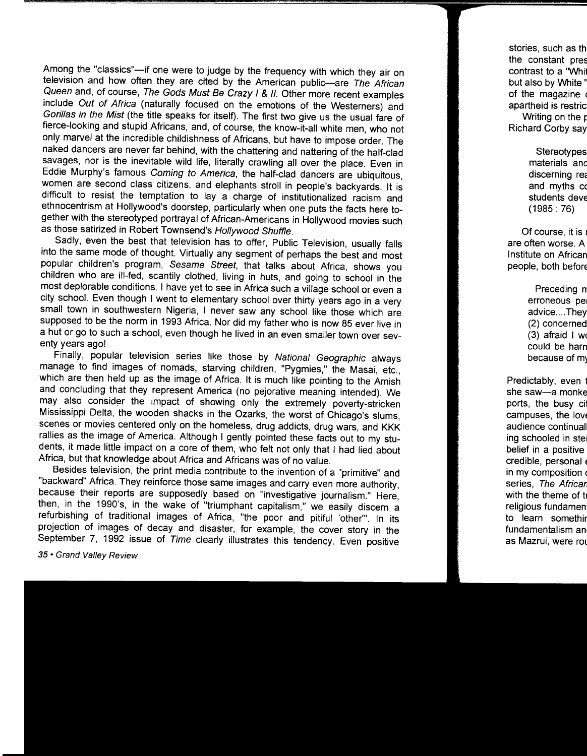Among the "classics"-if one were to judge by the frequency with which they air on television and how often they are cited by the American public-are The African Queen and, of course, The Gods Must Be Crazy I & II. Other more recent examples include Out of Africa (naturally focused on the emotions of the Westerners) and Gorillas in the Mist (the title speaks for itself). The first two give us the usual fare of fierce-looking and stupid Africans, and, of course, the know-it-all white men, who not only marvel at the incredible childishness of Africans, but have to impose order. The naked dancers are never far behind, with the chattering and nattering of the half-clad savages, nor is the inevitable wild life, literally crawling all over the place. Even in Eddie Murphy's famous Coming to America, the half-clad dancers are ubiquitous, women are second class citizens, and elephants stroll in people's backyards. It is difficult to resist the temptation to lay a charge of institutionalized racism and ethnocentrism at Hollywood's doorstep, particularly when one puts the facts here together with the stereotyped portrayal of African-Americans in Hollywood movies such as those satirized in Robert Townsend's Hollywood Shuffle.

Sadly, even the best that television has to offer, Public Television, usually falls into the same mode of thought. Virtually any segment of perhaps the best and most popular children's program, Sesame Street, that talks about Africa, shows you children who are ill-fed, scantily clothed, living in huts, and going to school in the most deplorable conditions. I have yet to see in Africa such a village school or even a city school. Even though I went to elementary school over thirty years ago in a very small town in southwestern Nigeria, I never saw any school like those which are supposed to be the norm in 1993 Africa. Nor did my father who is now 85 ever live in a hut or go to such a school, even though he lived in an even smaller town over seventy years ago!

Finally, popular television series like those by National Geographic always manage to find images of nomads, starving children, "Pygmies," the Masai, etc., which are then held up as the image of Africa. It is much like pointing to the Amish and concluding that they represent America (no pejorative meaning intended). We may also consider the impact of showing only the extremely poverty-stricken Mississippi Delta, the wooden shacks in the Ozarks, the worst of Chicago's slums, scenes or movies centered only on the homeless, drug addicts, drug wars, and KKK rallies as the image of America. Although I gently pointed these facts out to my students, it made little impact on a core of them, who felt not only that I had lied about Africa, but that knowledge about Africa and Africans was of no value.

Besides television, the print media contribute to the invention of a "primitive" and "backward" Africa. They reinforce those same images and carry even more authority, because their reports are supposedly based on "investigative journalism." Here, then, in the 1990's, in the wake of "triumphant capitalism," we easily discern a refurbishing of traditional images of Africa, "the poor and pitiful 'other'". In its projection of images of decay and disaster, for example, the cover story in the September 7, 1992 issue of Time clearly illustrates this tendency. Even positive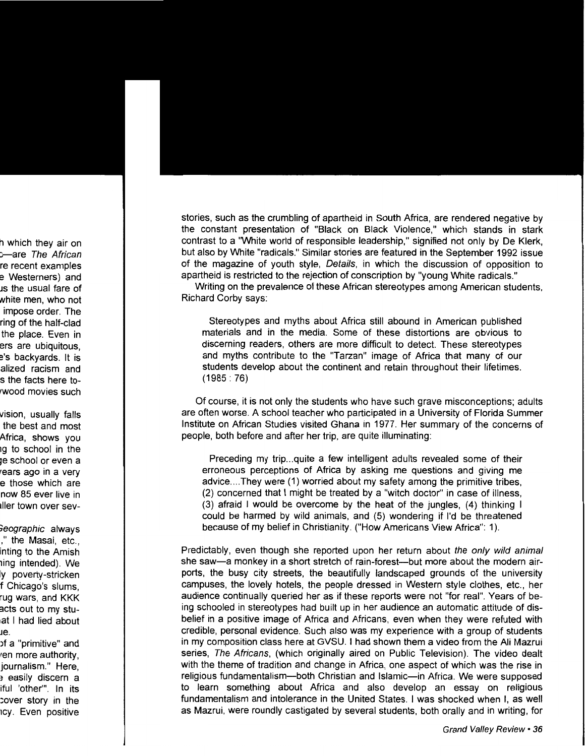stories, such as the crumbling of apartheid in South Africa, are rendered negative by the constant presentation of "Black on Black Violence," which stands in stark contrast to a "White world of responsible leadership," signified not only by De Klerk, but also by White "radicals." Similar stories are featured in the September 1992 issue of the magazine of youth style, Details, in which the discussion of opposition to apartheid is restricted to the rejection of conscription by "young White radicals."

Writing on the prevalence of these African stereotypes among American students, Richard Corby says:

Stereotypes and myths about Africa still abound in American published materials and in the media. Some of these distortions are obvious to discerning readers, others are more difficult to detect. These stereotypes and myths contribute to the "Tarzan" image of Africa that many of our students develop about the continent and retain throughout their lifetimes. (1985: 76)

Of course, it is not only the students who have such grave misconceptions; adults are often worse. A school teacher who participated in a University of Florida Summer Institute on African Studies visited Ghana in 1977. Her summary of the concerns of people, both before and after her trip, are quite illuminating:

Preceding my trip...quite a few intelligent adults revealed some of their erroneous perceptions of Africa by asking me questions and giving me advice .... They were (1) worried about my safety among the primitive tribes, (2) concerned that I might be treated by a "witch doctor" in case of illness, (3) afraid I would be overcome by the heat of the jungles, (4) thinking I could be harmed by wild animals, and (5) wondering if I'd be threatened because of my belief in Christianity. ("How Americans View Africa": 1 ).

Predictably, even though she reported upon her return about the only wild animal she saw-a monkey in a short stretch of rain-forest-but more about the modern airports, the busy city streets, the beautifully landscaped grounds of the university campuses, the lovely hotels, the people dressed in Western style clothes, etc., her audience continually queried her as if these reports were not "for real". Years of being schooled in stereotypes had built up in her audience an automatic attitude of disbelief in a positive image of Africa and Africans, even when they were refuted with credible, personal evidence. Such also was my experience with a group of students in my composition class here at GVSU. I had shown them a video from the Ali Mazrui series, *The Africans*, (which originally aired on Public Television). The video dealt with the theme of tradition and change in Africa, one aspect of which was the rise in religious fundamentalism-both Christian and Islamic-in Africa. We were supposed to learn something about Africa and also develop an essay on religious fundamentalism and intolerance in the United States. I was shocked when I, as well as Mazrui, were roundly castigated by several students, both orally and in writing, for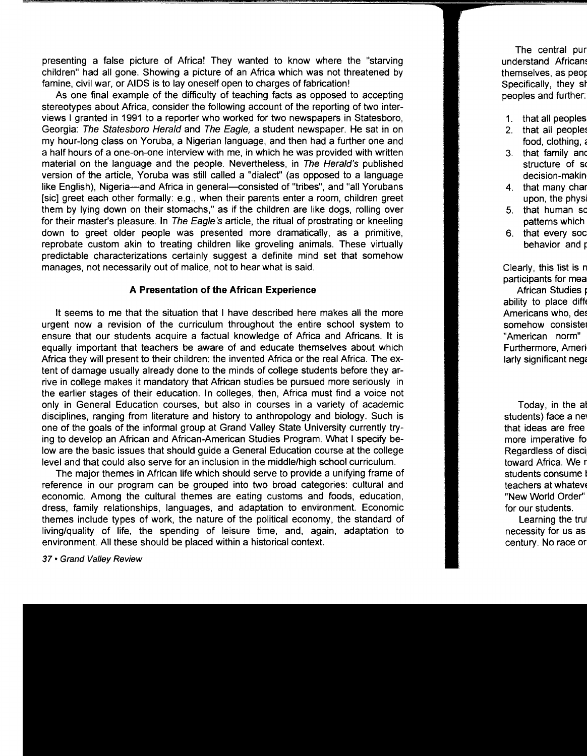presenting a false picture of Africa! They wanted to know where the "starving children" had all gone. Showing a picture of an Africa which was not threatened by famine, civil war, or AIDS is to lay oneself open to charges of fabrication!

As one final example of the difficulty of teaching facts as opposed to accepting stereotypes about Africa, consider the following account of the reporting of two interviews I granted in 1991 to a reporter who worked for two newspapers in Statesboro, Georgia: The Statesboro Herald and The Eagle, a student newspaper. He sat in on my hour-long class on Yoruba, a Nigerian language, and then had a further one and a half hours of a one-on-one interview with me, in which he was provided with written material on the language and the people. Nevertheless, in The Herald's published version of the article, Yoruba was still called a "dialect" (as opposed to a language like English), Nigeria—and Africa in general—consisted of "tribes", and "all Yorubans [sic] greet each other formally: e.g., when their parents enter a room, children greet them by lying down on their stomachs," as if the children are like dogs, rolling over for their master's pleasure. In The Eagle's article, the ritual of prostrating or kneeling down to greet older people was presented more dramatically, as a primitive, reprobate custom akin to treating children like groveling animals. These virtually predictable characterizations certainly suggest a definite mind set that somehow manages, not necessarily out of malice, not to hear what is said.

#### **A Presentation of the African Experience**

It seems to me that the situation that I have described here makes all the more urgent now a revision of the curriculum throughout the entire school system to ensure that our students acquire a factual knowledge of Africa and Africans. It is equally important that teachers be aware of and educate themselves about which Africa they will present to their children: the invented Africa or the real Africa. The extent of damage usually already done to the minds of college students before they arrive in college makes it mandatory that African studies be pursued more seriously in the earlier stages of their education. In colleges, then, Africa must find a voice not only in General Education courses, but also in courses in a variety of academic disciplines, ranging from literature and history to anthropology and biology. Such is one of the goals of the informal group at Grand Valley State University currently trying to develop an African and African-American Studies Program. What I specify below are the basic issues that should guide a General Education course at the college level and that could also serve for an inclusion in the middle/high school curriculum.

The major themes in African life which should serve to provide a unifying frame of reference in our program can be grouped into two broad categories: cultural and economic. Among the cultural themes are eating customs and foods, education, dress, family relationships, languages, and adaptation to environment. Economic themes include types of work, the nature of the political economy, the standard of living/quality of life, the spending of leisure time, and, again, adaptation to environment. All these should be placed within a historical context.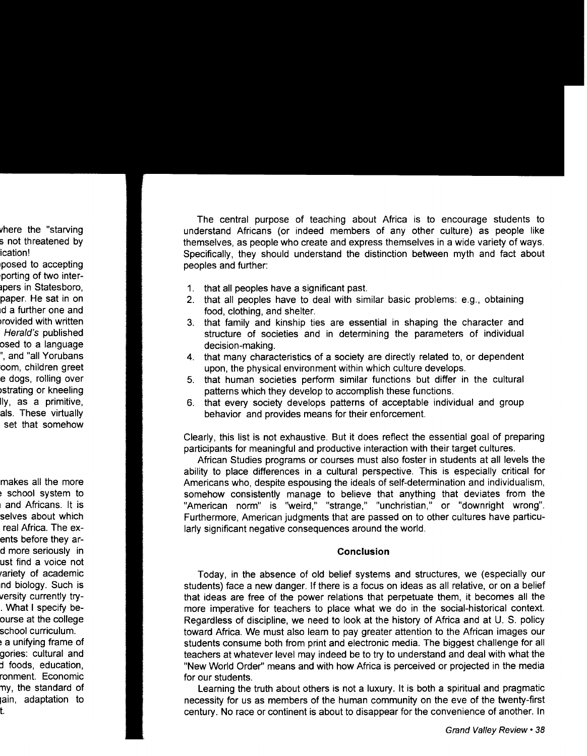The central purpose of teaching about Africa is to encourage students to understand Africans (or indeed members of any other culture) as people like themselves, as people who create and express themselves in a wide variety of ways. Specifically, they should understand the distinction between myth and fact about peoples and further:

- 1. that all peoples have a significant past.
- 2. that all peoples have to deal with similar basic problems: e.g., obtaining food, clothing, and shelter.
- 3. that family and kinship ties are essential in shaping the character and structure of societies and in determining the parameters of individual decision-making.
- 4. that many characteristics of a society are directly related to, or dependent upon, the physical environment within which culture develops.
- 5. that human societies perform similar functions but differ in the cultural patterns which they develop to accomplish these functions.
- 6. that every society develops patterns of acceptable individual and group behavior and provides means for their enforcement.

Clearly, this list is not exhaustive. But it does reflect the essential goal of preparing participants for meaningful and productive interaction with their target cultures.

African Studies programs or courses must also foster in students at all levels the ability to place differences in a cultural perspective. This is especially critical for Americans who, despite espousing the ideals of self-determination and individualism, somehow consistently manage to believe that anything that deviates from the "American norm" is "weird," "strange," "unchristian," or "downright wrong". Furthermore, American judgments that are passed on to other cultures have particularly significant negative consequences around the world.

#### **Conclusion**

Today, in the absence of old belief systems and structures, we (especially our students) face a new danger. If there is a focus on ideas as all relative, or on a belief that ideas are free of the power relations that perpetuate them, it becomes all the more imperative for teachers to place what we do in the social-historical context. Regardless of discipline, we need to look at the history of Africa and at U. S. policy toward Africa. We must also learn to pay greater attention to the African images our students consume both from print and electronic media. The biggest challenge for all teachers at whatever level may indeed be to try to understand and deal with what the "New World Order" means and with how Africa is perceived or projected in the media for our students.

Learning the truth about others is not a luxury. It is both a spiritual and pragmatic necessity for us as members of the human community on the eve of the twenty-first century. No race or continent is about to disappear for the convenience of another. In